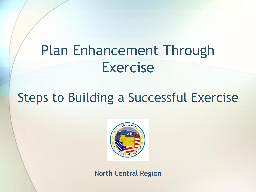#### Plan Enhancement Through Exercise

#### Steps to Building a Successful Exercise



North Central Region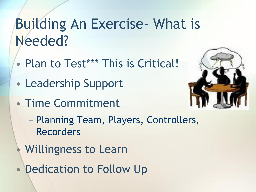### Building An Exercise- What is Needed?

- Plan to Test\*\*\* This is Critical!
- Leadership Support
- Time Commitment



- − Planning Team, Players, Controllers, Recorders
- Willingness to Learn
- Dedication to Follow Up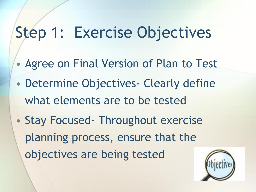# Step 1: Exercise Objectives

- Agree on Final Version of Plan to Test
- Determine Objectives- Clearly define what elements are to be tested
- Stay Focused Throughout exercise planning process, ensure that the objectives are being tested

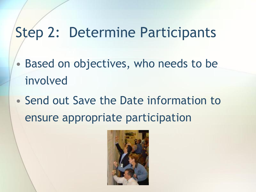#### Step 2: Determine Participants

- Based on objectives, who needs to be involved
- Send out Save the Date information to ensure appropriate participation

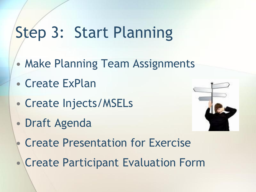# Step 3: Start Planning

- Make Planning Team Assignments
- Create ExPlan
- Create Injects/MSELs
- Draft Agenda



- Create Presentation for Exercise
- Create Participant Evaluation Form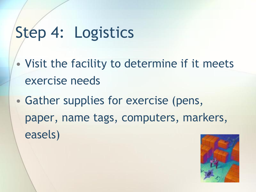# Step 4: Logistics

- Visit the facility to determine if it meets exercise needs
- Gather supplies for exercise (pens, paper, name tags, computers, markers, easels)

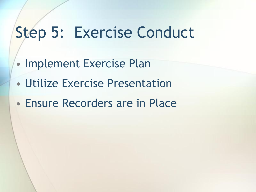### Step 5: Exercise Conduct

- Implement Exercise Plan
- Utilize Exercise Presentation
- Ensure Recorders are in Place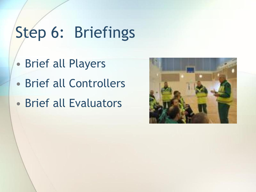# Step 6: Briefings

- Brief all Players
- Brief all Controllers
- Brief all Evaluators

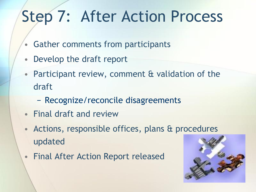# Step 7: After Action Process

- Gather comments from participants
- Develop the draft report
- Participant review, comment & validation of the draft
	- − Recognize/reconcile disagreements
- Final draft and review
- Actions, responsible offices, plans & procedures updated
- Final After Action Report released

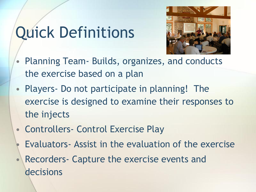# Quick Definitions



- Planning Team- Builds, organizes, and conducts the exercise based on a plan
- Players- Do not participate in planning! The exercise is designed to examine their responses to the injects
- Controllers- Control Exercise Play
	- Evaluators Assist in the evaluation of the exercise
- Recorders- Capture the exercise events and decisions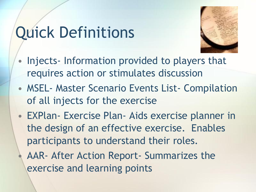## Quick Definitions



- Injects- Information provided to players that requires action or stimulates discussion
- MSEL- Master Scenario Events List- Compilation of all injects for the exercise
- EXPlan- Exercise Plan- Aids exercise planner in the design of an effective exercise. Enables participants to understand their roles.
	- AAR- After Action Report- Summarizes the exercise and learning points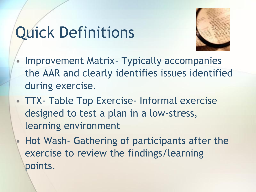# Quick Definitions



- Improvement Matrix Typically accompanies the AAR and clearly identifies issues identified during exercise.
- TTX- Table Top Exercise- Informal exercise designed to test a plan in a low-stress, learning environment
- Hot Wash- Gathering of participants after the exercise to review the findings/learning points.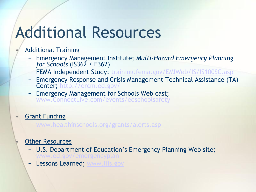### Additional Resources

#### • Additional Training

- − Emergency Management Institute; *Multi-Hazard Emergency Planning for Schools* (IS362 / E362)
- − FEMA Independent Study; [training.fema.gov/EMIWeb/IS/IS100SC.asp](http://training.fema.gov/EMIWeb/IS/IS100SC.asp)
- Emergency Response and Crisis Management Technical Assistance (TA) Center;<http://ercm.ed.gov/>
- − Emergency Management for Schools Web cast; [www.ConnectLive.com/events/edschoolsafety](http://www.connectlive.com/events/edschoolsafety)

#### **Grant Funding**

− [www.healthinschools.org/grants/alerts.asp](http://www.healthinschools.org/grants/alerts.asp)

#### **Other Resources**

- − U.S. Department of Education's Emergency Planning Web site; [www.ed.gov/emergencyplan](http://www.ed.gov/emergencyplan)
- **Lessons Learned; [www.llis.gov](http://www.llis.gov/)**